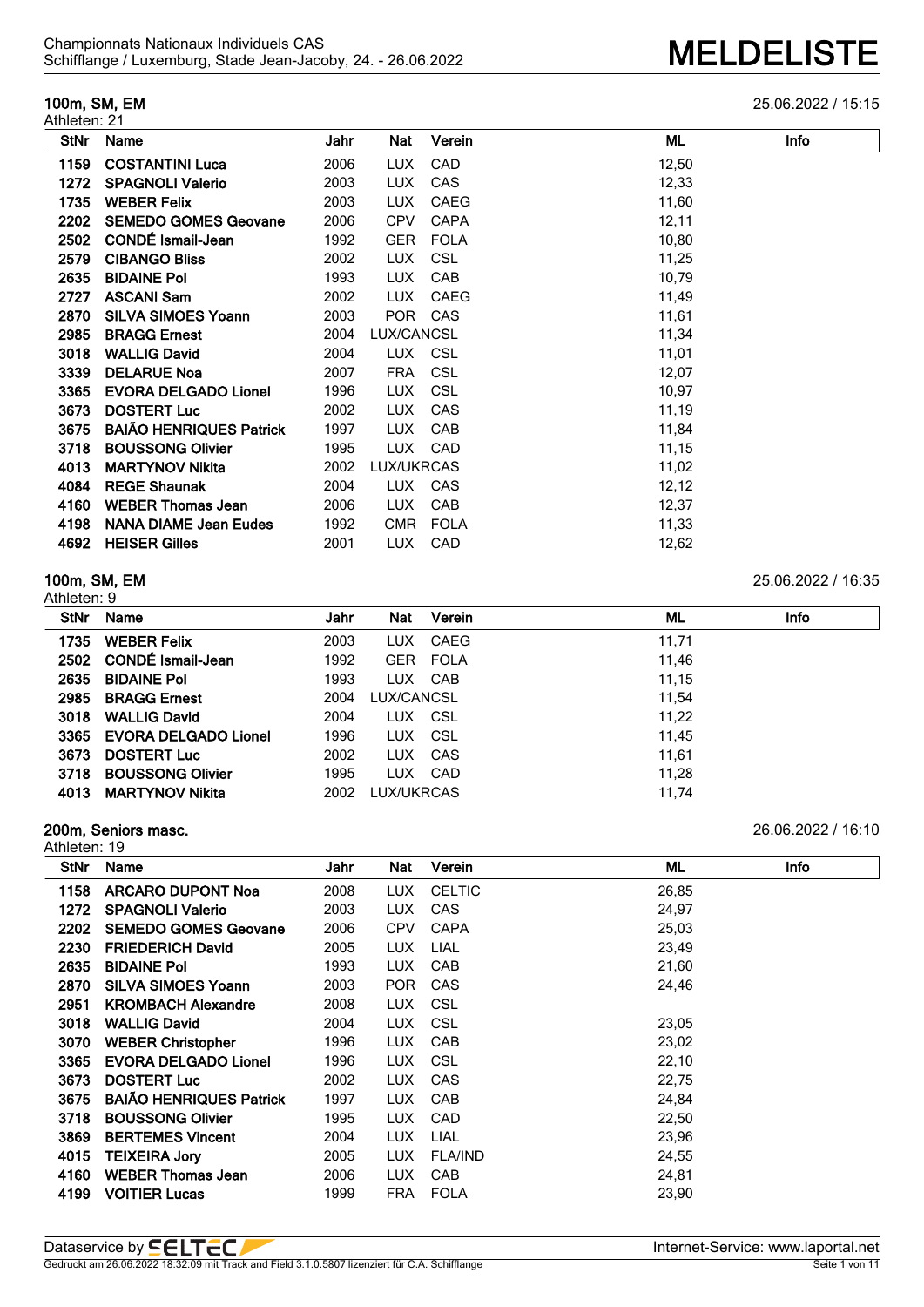Athleten: 21

**100m, SM, EM** 25.06.2022 / 15:15

| <b>StNr</b> | Name                           | Jahr | Nat        | Verein      | ML    | Info |
|-------------|--------------------------------|------|------------|-------------|-------|------|
| 1159        | <b>COSTANTINI Luca</b>         | 2006 | <b>LUX</b> | <b>CAD</b>  | 12,50 |      |
| 1272        | <b>SPAGNOLI Valerio</b>        | 2003 | <b>LUX</b> | CAS         | 12,33 |      |
| 1735        | <b>WEBER Felix</b>             | 2003 | <b>LUX</b> | <b>CAEG</b> | 11,60 |      |
| 2202        | <b>SEMEDO GOMES Geovane</b>    | 2006 | <b>CPV</b> | <b>CAPA</b> | 12,11 |      |
| 2502        | CONDÉ Ismail-Jean              | 1992 | <b>GER</b> | <b>FOLA</b> | 10,80 |      |
| 2579        | <b>CIBANGO Bliss</b>           | 2002 | <b>LUX</b> | <b>CSL</b>  | 11,25 |      |
| 2635        | <b>BIDAINE Pol</b>             | 1993 | <b>LUX</b> | CAB         | 10,79 |      |
| 2727        | <b>ASCANI Sam</b>              | 2002 | <b>LUX</b> | <b>CAEG</b> | 11,49 |      |
| 2870        | <b>SILVA SIMOES Yoann</b>      | 2003 | POR CAS    |             | 11,61 |      |
| 2985        | <b>BRAGG Ernest</b>            | 2004 | LUX/CANCSL |             | 11,34 |      |
| 3018        | <b>WALLIG David</b>            | 2004 | LUX CSL    |             | 11,01 |      |
| 3339        | <b>DELARUE Noa</b>             | 2007 | <b>FRA</b> | <b>CSL</b>  | 12,07 |      |
| 3365        | <b>EVORA DELGADO Lionel</b>    | 1996 | <b>LUX</b> | <b>CSL</b>  | 10,97 |      |
| 3673        | <b>DOSTERT Luc</b>             | 2002 | <b>LUX</b> | CAS         | 11,19 |      |
| 3675        | <b>BAIÃO HENRIQUES Patrick</b> | 1997 | <b>LUX</b> | CAB         | 11,84 |      |
| 3718        | <b>BOUSSONG Olivier</b>        | 1995 | <b>LUX</b> | CAD         | 11,15 |      |
| 4013        | <b>MARTYNOV Nikita</b>         | 2002 | LUX/UKRCAS |             | 11,02 |      |
| 4084        | <b>REGE Shaunak</b>            | 2004 | LUX        | <b>CAS</b>  | 12,12 |      |
| 4160        | <b>WEBER Thomas Jean</b>       | 2006 | LUX.       | CAB         | 12,37 |      |
| 4198        | <b>NANA DIAME Jean Eudes</b>   | 1992 | <b>CMR</b> | <b>FOLA</b> | 11,33 |      |
| 4692        | <b>HEISER Gilles</b>           | 2001 | LUX.       | <b>CAD</b>  | 12,62 |      |

### **100m, SM, EM** 25.06.2022 / 16:35 Athleten: 9

| <b>StNr</b> | Name                        | Jahr | <b>Nat</b> | Verein   | ML    | Info |
|-------------|-----------------------------|------|------------|----------|-------|------|
| 1735        | <b>WEBER Felix</b>          | 2003 | <b>LUX</b> | CAEG     | 11.71 |      |
| 2502        | <b>CONDÉ Ismail-Jean</b>    | 1992 |            | GER FOLA | 11.46 |      |
| 2635        | <b>BIDAINE Pol</b>          | 1993 | LUX CAB    |          | 11,15 |      |
| 2985        | <b>BRAGG Ernest</b>         | 2004 | LUX/CANCSL |          | 11.54 |      |
| 3018        | <b>WALLIG David</b>         | 2004 | LUX CSL    |          | 11.22 |      |
| 3365        | <b>EVORA DELGADO Lionel</b> | 1996 | <b>LUX</b> | CSL      | 11,45 |      |
| 3673        | <b>DOSTERT Luc</b>          | 2002 | LUX.       | CAS      | 11.61 |      |
| 3718        | <b>BOUSSONG Olivier</b>     | 1995 | LUX.       | CAD      | 11,28 |      |
| 4013        | <b>MARTYNOV Nikita</b>      | 2002 | LUX/UKRCAS |          | 11,74 |      |

## **200m, Seniors masc.** 26.06.2022 / 16:10

| Athleten: 19 |                                |      |            |                |       |      |
|--------------|--------------------------------|------|------------|----------------|-------|------|
| <b>StNr</b>  | Name                           | Jahr | Nat        | Verein         | ML    | Info |
| 1158         | <b>ARCARO DUPONT Noa</b>       | 2008 | LUX.       | <b>CELTIC</b>  | 26,85 |      |
| 1272         | <b>SPAGNOLI Valerio</b>        | 2003 | LUX.       | <b>CAS</b>     | 24,97 |      |
| 2202         | <b>SEMEDO GOMES Geovane</b>    | 2006 | <b>CPV</b> | <b>CAPA</b>    | 25,03 |      |
| 2230         | <b>FRIEDERICH David</b>        | 2005 | <b>LUX</b> | LIAL           | 23,49 |      |
| 2635         | <b>BIDAINE Pol</b>             | 1993 | LUX.       | <b>CAB</b>     | 21,60 |      |
| 2870         | <b>SILVA SIMOES Yoann</b>      | 2003 | POR        | CAS            | 24,46 |      |
| 2951         | <b>KROMBACH Alexandre</b>      | 2008 | <b>LUX</b> | CSL            |       |      |
| 3018         | <b>WALLIG David</b>            | 2004 | <b>LUX</b> | CSL            | 23,05 |      |
| 3070         | <b>WEBER Christopher</b>       | 1996 | LUX.       | CAB            | 23,02 |      |
| 3365         | <b>EVORA DELGADO Lionel</b>    | 1996 | <b>LUX</b> | CSL            | 22,10 |      |
| 3673         | <b>DOSTERT Luc</b>             | 2002 | <b>LUX</b> | CAS            | 22,75 |      |
| 3675         | <b>BAIÃO HENRIQUES Patrick</b> | 1997 | LUX.       | CAB            | 24,84 |      |
| 3718         | <b>BOUSSONG Olivier</b>        | 1995 | <b>LUX</b> | CAD            | 22,50 |      |
| 3869         | <b>BERTEMES Vincent</b>        | 2004 | <b>LUX</b> | LIAL           | 23,96 |      |
| 4015         | <b>TEIXEIRA Jory</b>           | 2005 | LUX.       | <b>FLA/IND</b> | 24,55 |      |
| 4160         | <b>WEBER Thomas Jean</b>       | 2006 | <b>LUX</b> | CAB            | 24,81 |      |
| 4199         | <b>VOITIER Lucas</b>           | 1999 | FRA        | <b>FOLA</b>    | 23,90 |      |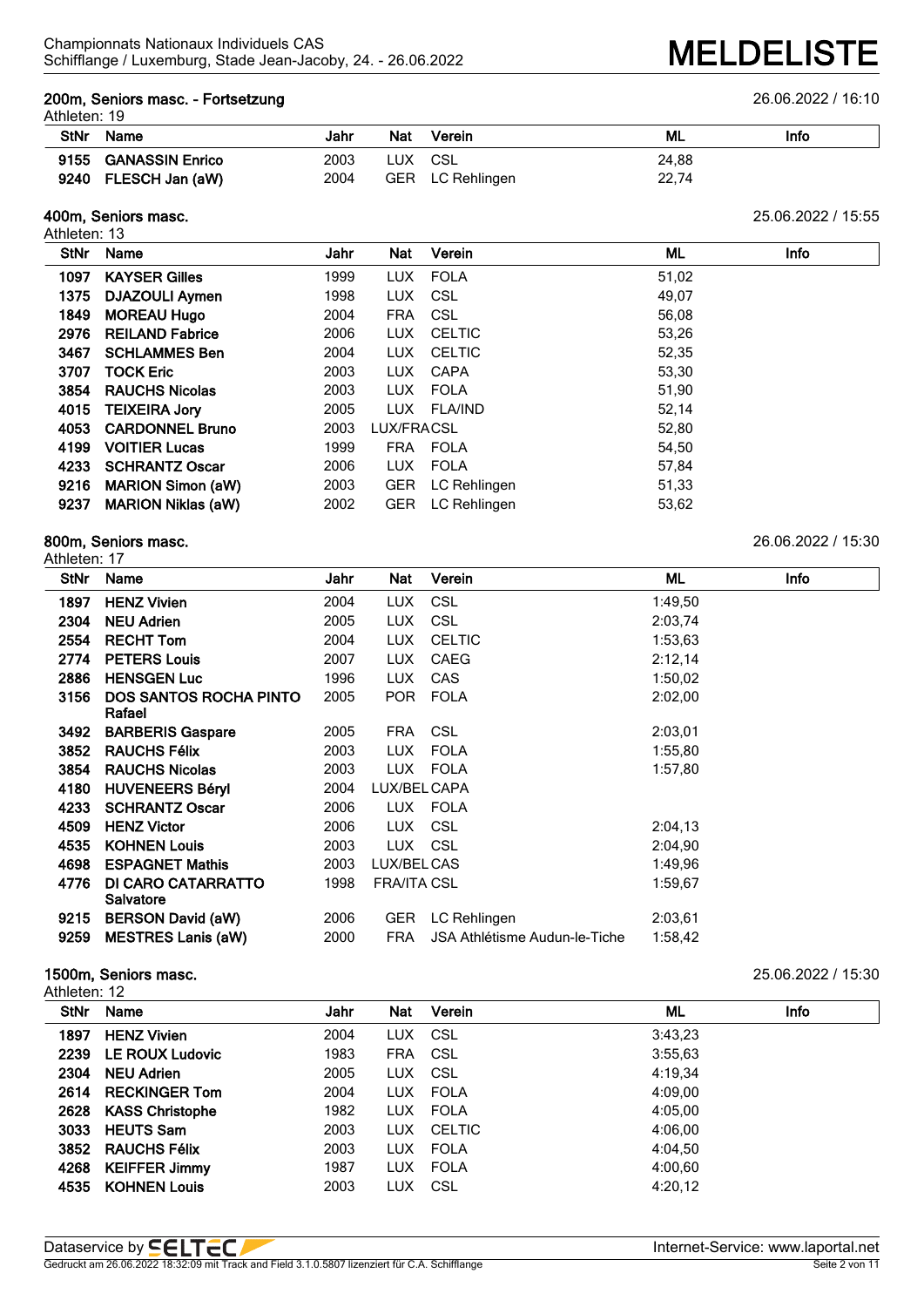# **200m, Seniors masc. - Fortsetzung** 26.06.2022 / 16:10

# Athleten: 19

| AURUCH, 19  |                      |      |     |                  |       |      |
|-------------|----------------------|------|-----|------------------|-------|------|
| <b>StNr</b> | Name                 | Jahr | Nat | Verein           | ML    | Info |
|             | 9155 GANASSIN Enrico | 2003 |     | LUX CSL          | 24.88 |      |
|             | 9240 FLESCH Jan (aW) | 2004 |     | GER LC Rehlingen | 22,74 |      |

### **400m, Seniors masc.** 25.06.2022 / 15:55

Athleten: 13

| <b>StNr</b> | Name                      | Jahr | Nat        | Verein        | ML    | <b>Info</b> |
|-------------|---------------------------|------|------------|---------------|-------|-------------|
| 1097        | <b>KAYSER Gilles</b>      | 1999 |            | LUX FOLA      | 51,02 |             |
| 1375        | <b>DJAZOULI Aymen</b>     | 1998 | <b>LUX</b> | CSL           | 49,07 |             |
| 1849        | <b>MOREAU Hugo</b>        | 2004 | <b>FRA</b> | CSL           | 56,08 |             |
| 2976        | <b>REILAND Fabrice</b>    | 2006 | LUX.       | CELTIC        | 53,26 |             |
| 3467        | <b>SCHLAMMES Ben</b>      | 2004 | <b>LUX</b> | <b>CELTIC</b> | 52,35 |             |
| 3707        | <b>TOCK Eric</b>          | 2003 | <b>LUX</b> | CAPA          | 53,30 |             |
| 3854        | <b>RAUCHS Nicolas</b>     | 2003 |            | LUX FOLA      | 51,90 |             |
| 4015        | <b>TEIXEIRA Jory</b>      | 2005 |            | LUX FLA/IND   | 52,14 |             |
| 4053        | <b>CARDONNEL Bruno</b>    | 2003 | LUX/FRACSL |               | 52,80 |             |
| 4199        | <b>VOITIER Lucas</b>      | 1999 |            | FRA FOLA      | 54,50 |             |
| 4233        | <b>SCHRANTZ Oscar</b>     | 2006 | <b>LUX</b> | FOLA          | 57.84 |             |
| 9216        | <b>MARION Simon (aW)</b>  | 2003 | <b>GER</b> | LC Rehlingen  | 51,33 |             |
| 9237        | <b>MARION Niklas (aW)</b> | 2002 | <b>GER</b> | LC Rehlingen  | 53,62 |             |

# **800m, Seniors masc.** 26.06.2022 / 15:30

Athleten: 17

| <b>StNr</b> | Name                          | Jahr | Nat                | Verein                        | ML      | Info |
|-------------|-------------------------------|------|--------------------|-------------------------------|---------|------|
| 1897        | <b>HENZ Vivien</b>            | 2004 | LUX.               | <b>CSL</b>                    | 1:49,50 |      |
| 2304        | <b>NEU Adrien</b>             | 2005 | <b>LUX</b>         | <b>CSL</b>                    | 2:03.74 |      |
| 2554        | <b>RECHT Tom</b>              | 2004 | LUX.               | <b>CELTIC</b>                 | 1:53,63 |      |
| 2774        | <b>PETERS Louis</b>           | 2007 | <b>LUX</b>         | CAEG                          | 2:12,14 |      |
| 2886        | <b>HENSGEN Luc</b>            | 1996 | <b>LUX</b>         | <b>CAS</b>                    | 1:50,02 |      |
| 3156        | <b>DOS SANTOS ROCHA PINTO</b> | 2005 | POR.               | <b>FOLA</b>                   | 2:02.00 |      |
|             | Rafael                        |      |                    |                               |         |      |
| 3492        | <b>BARBERIS Gaspare</b>       | 2005 | FRA                | CSL                           | 2:03.01 |      |
| 3852        | <b>RAUCHS Félix</b>           | 2003 | LUX                | <b>FOLA</b>                   | 1:55,80 |      |
| 3854        | <b>RAUCHS Nicolas</b>         | 2003 | LUX                | FOLA                          | 1:57,80 |      |
| 4180        | <b>HUVENEERS Béryl</b>        | 2004 | LUX/BEL CAPA       |                               |         |      |
| 4233        | <b>SCHRANTZ Oscar</b>         | 2006 |                    | LUX FOLA                      |         |      |
| 4509        | <b>HENZ Victor</b>            | 2006 | LUX                | CSL                           | 2:04,13 |      |
| 4535        | <b>KOHNEN Louis</b>           | 2003 | <b>LUX</b>         | CSL                           | 2:04.90 |      |
| 4698        | <b>ESPAGNET Mathis</b>        | 2003 | LUX/BEL CAS        |                               | 1:49,96 |      |
| 4776        | DI CARO CATARRATTO            | 1998 | <b>FRA/ITA CSL</b> |                               | 1:59.67 |      |
|             | Salvatore                     |      |                    |                               |         |      |
| 9215        | <b>BERSON David (aW)</b>      | 2006 | <b>GER</b>         | LC Rehlingen                  | 2:03,61 |      |
| 9259        | <b>MESTRES Lanis (aW)</b>     | 2000 | <b>FRA</b>         | JSA Athlétisme Audun-le-Tiche | 1:58,42 |      |

## **1500m, Seniors masc.** 25.06.2022 / 15:30

| Athleten: 12 |                      |      |            |            |         |      |
|--------------|----------------------|------|------------|------------|---------|------|
| <b>StNr</b>  | Name                 | Jahr | <b>Nat</b> | Verein     | ML      | Info |
| 1897         | <b>HENZ Vivien</b>   | 2004 | LUX CSL    |            | 3:43,23 |      |
|              | 2239 LE ROUX Ludovic | 1983 | FRA CSL    |            | 3:55.63 |      |
| 2304         | NEU Adrien           | 2005 | LUX CSL    |            | 4:19.34 |      |
| 2614         | <b>RECKINGER Tom</b> | 2004 |            | LUX FOLA   | 4:09.00 |      |
|              | 2628 KASS Christophe | 1982 |            | LUX FOLA   | 4:05.00 |      |
| 3033         | <b>HEUTS Sam</b>     | 2003 |            | LUX CELTIC | 4:06.00 |      |
| 3852         | <b>RAUCHS Félix</b>  | 2003 |            | LUX FOLA   | 4:04.50 |      |
| 4268         | <b>KEIFFER Jimmy</b> | 1987 | LUX        | FOLA       | 4:00.60 |      |
| 4535         | <b>KOHNEN Louis</b>  | 2003 |            | LUX CSL    | 4:20,12 |      |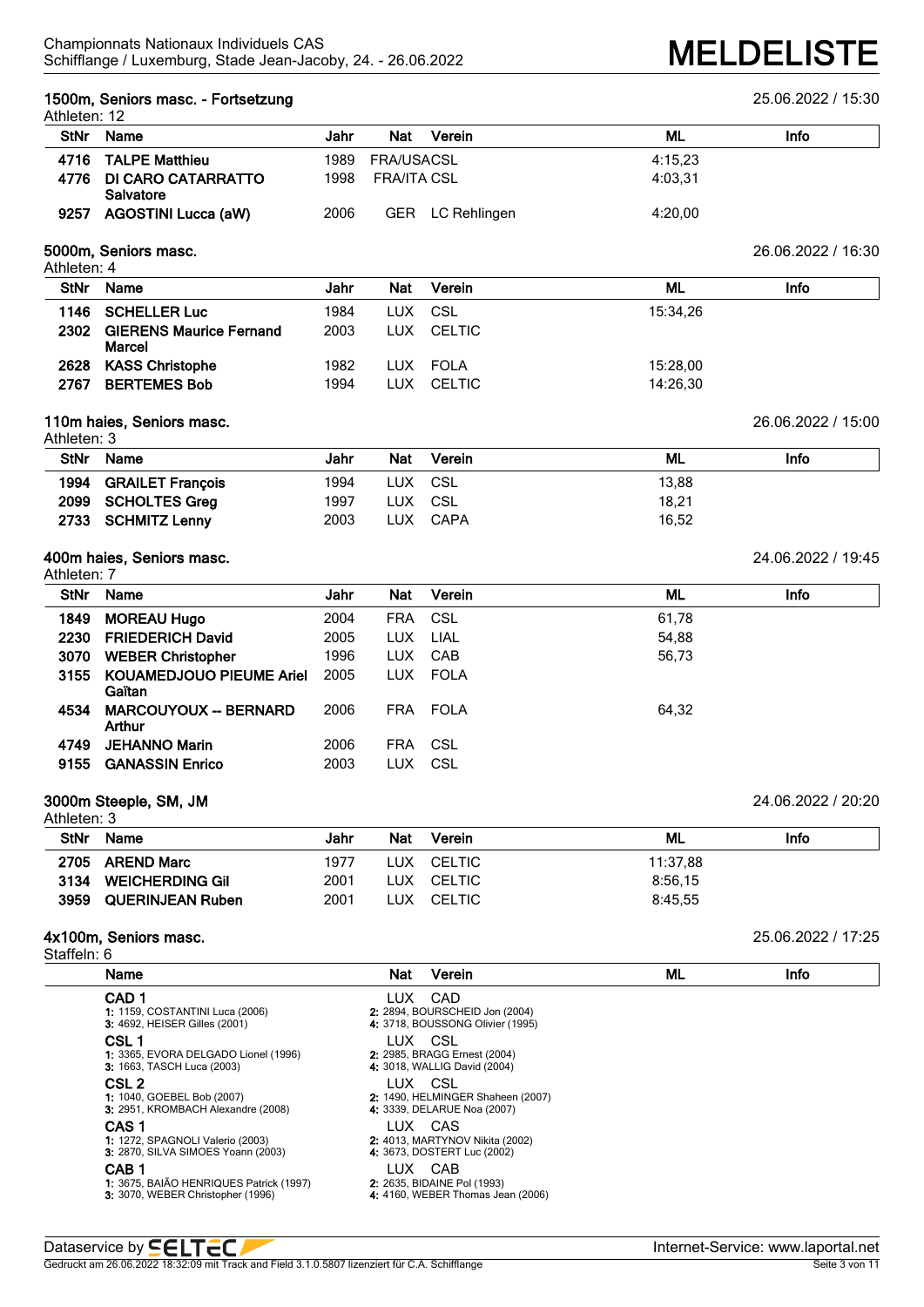### **1500m, Seniors masc. - Fortsetzung** 25.06.2022 / 15:30 Athleten: 12

| <b>StNr</b> | Name                                 | Jahr<br>Verein<br>Nat    | Info<br>ML |
|-------------|--------------------------------------|--------------------------|------------|
|             | 4716 TALPE Matthieu                  | FRA/USACSL<br>1989       | 4:15.23    |
|             | 4776 DI CARO CATARRATTO<br>Salvatore | 1998<br>FRA/ITA CSL      | 4:03.31    |
| 9257        | <b>AGOSTINI Lucca (aW)</b>           | 2006<br>GER LC Rehlingen | 4:20.00    |

### **5000m, Seniors masc.** 26.06.2022 / 16:30 Athleten: 4

| <b>StNr</b> | Name                                     | Jahr | Nat  | Verein | ML       | Info |
|-------------|------------------------------------------|------|------|--------|----------|------|
| 1146        | <b>SCHELLER Luc</b>                      | 1984 | LUX. | CSL    | 15:34.26 |      |
| 2302        | <b>GIERENS Maurice Fernand</b><br>Marcel | 2003 | LUX. | CELTIC |          |      |
| 2628        | <b>KASS Christophe</b>                   | 1982 | LUX. | FOLA   | 15:28.00 |      |
| 2767        | <b>BERTEMES Bob</b>                      | 1994 | LUX. | CELTIC | 14:26.30 |      |

### **110m haies, Seniors masc.** 26.06.2022 / 15:00

|             | Athleten: 3           |      |            |        |       |      |  |  |
|-------------|-----------------------|------|------------|--------|-------|------|--|--|
| <b>StNr</b> | Name                  | Jahr | <b>Nat</b> | Verein | ML    | Info |  |  |
|             | 1994 GRAILET François | 1994 | LUX CSL    |        | 13.88 |      |  |  |
|             | 2099 SCHOLTES Greg    | 1997 | LUX.       | CSL    | 18,21 |      |  |  |
|             | 2733 SCHMITZ Lenny    | 2003 | LUX        | CAPA   | 16.52 |      |  |  |

### **400m haies, Seniors masc.** 24.06.2022 / 19:45 Athleten: 7

| ו ווסנסוו. ו<br><b>StNr</b> | Name                                      | Jahr | <b>Nat</b> | Verein      | ML    | Info |
|-----------------------------|-------------------------------------------|------|------------|-------------|-------|------|
| 1849                        | <b>MOREAU Hugo</b>                        | 2004 | <b>FRA</b> | CSL         | 61,78 |      |
| 2230                        | <b>FRIEDERICH David</b>                   | 2005 | <b>LUX</b> | LIAL        | 54,88 |      |
| 3070                        | <b>WEBER Christopher</b>                  | 1996 | <b>LUX</b> | CAB         | 56,73 |      |
| 3155                        | <b>KOUAMEDJOUO PIEUME Ariel</b><br>Gaïtan | 2005 | <b>LUX</b> | <b>FOLA</b> |       |      |
| 4534                        | <b>MARCOUYOUX -- BERNARD</b><br>Arthur    | 2006 | <b>FRA</b> | <b>FOLA</b> | 64,32 |      |
| 4749                        | <b>JEHANNO Marin</b>                      | 2006 | <b>FRA</b> | CSL         |       |      |
| 9155                        | <b>GANASSIN Enrico</b>                    | 2003 | LUX        | CSL         |       |      |

### **3000m Steeple, SM, JM** 24.06.2022 / 20:20

| Athleten: 3 |                         |      |            |            |          |      |
|-------------|-------------------------|------|------------|------------|----------|------|
| <b>StNr</b> | <b>Name</b>             | Jahr | <b>Nat</b> | Verein     | ML       | Info |
|             | 2705 AREND Marc         | 1977 |            | LUX CELTIC | 11:37.88 |      |
| 3134        | <b>WEICHERDING GIL</b>  | 2001 |            | LUX CELTIC | 8:56.15  |      |
| 3959        | <b>QUERINJEAN Ruben</b> | 2001 | LUX        | CELTIC     | 8:45.55  |      |

### **4x100m, Seniors masc.** 25.06.2022 / 17:25

| Staffeln: 6 |  |
|-------------|--|
|-------------|--|

| Name             |                                                                                                                   | Nat     | Verein                                                                                           | ML | Info |
|------------------|-------------------------------------------------------------------------------------------------------------------|---------|--------------------------------------------------------------------------------------------------|----|------|
| CAD <sub>1</sub> | <b>1:</b> 1159, COSTANTINI Luca (2006)                                                                            | LUX     | CAD<br>2: 2894, BOURSCHEID Jon (2004)                                                            |    |      |
| CSL <sub>1</sub> | <b>3: 4692, HEISER Gilles (2001)</b><br>1: 3365, EVORA DELGADO Lionel (1996)<br><b>3:</b> 1663, TASCH Luca (2003) | LUX CSL | 4: 3718, BOUSSONG Olivier (1995)<br>2: 2985, BRAGG Ernest (2004)<br>4: 3018, WALLIG David (2004) |    |      |
| CSL <sub>2</sub> | 1: 1040, GOEBEL Bob (2007)<br>3. 2951, KROMBACH Alexandre (2008)                                                  | LUX CSL | 2: 1490, HELMINGER Shaheen (2007)<br>4: 3339, DELARUE Noa (2007)                                 |    |      |
| CAS <sub>1</sub> | 1: 1272, SPAGNOLI Valerio (2003)<br>3: 2870, SILVA SIMOES Yoann (2003)                                            |         | LUX CAS<br>2: 4013, MARTYNOV Nikita (2002)<br>4: 3673, DOSTERT Luc (2002)                        |    |      |
| CAB <sub>1</sub> | 1: 3675, BAIÃO HENRIQUES Patrick (1997)<br>3: 3070, WEBER Christopher (1996)                                      | LUX     | CAB<br>2: 2635, BIDAINE Pol (1993)<br>4: 4160, WEBER Thomas Jean (2006)                          |    |      |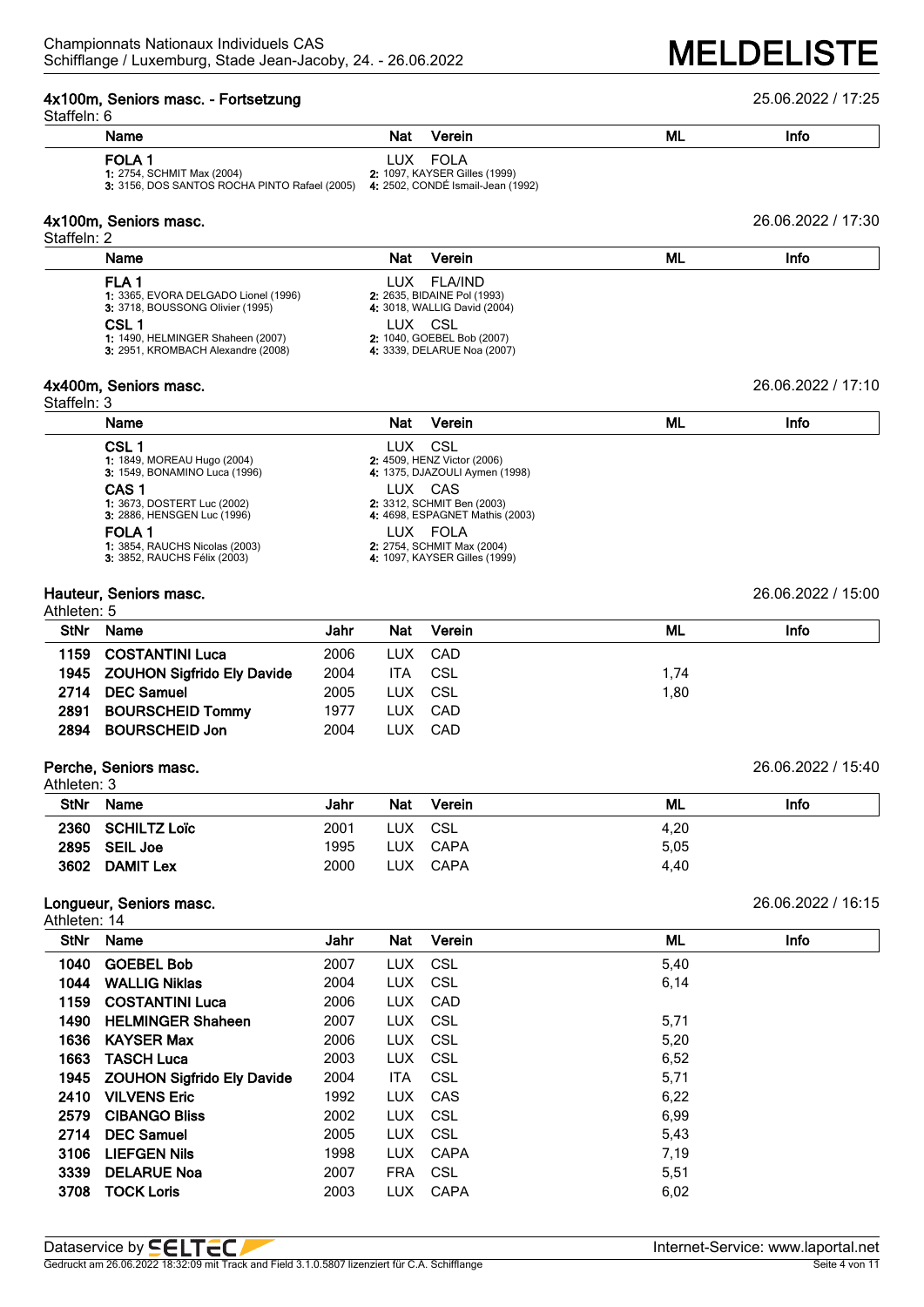# **4x100m, Seniors masc. - Fortsetzung** 25.06.2022 / 17:25

| Staffeln: 6                 |                                                                                                                                    |      |            |                                                             |           |                    |
|-----------------------------|------------------------------------------------------------------------------------------------------------------------------------|------|------------|-------------------------------------------------------------|-----------|--------------------|
|                             | Name                                                                                                                               |      | Nat        | Verein                                                      | ML        | Info               |
|                             | FOLA <sub>1</sub><br>1: 2754, SCHMIT Max (2004)<br>3: 3156, DOS SANTOS ROCHA PINTO Rafael (2005) 4: 2502, CONDÉ Ismail-Jean (1992) |      |            | LUX FOLA<br>2: 1097, KAYSER Gilles (1999)                   |           |                    |
| Staffeln: 2                 | 4x100m, Seniors masc.                                                                                                              |      |            |                                                             |           | 26.06.2022 / 17:30 |
|                             | Name                                                                                                                               |      | Nat        | Verein                                                      | ML        | Info               |
|                             | FLA <sub>1</sub>                                                                                                                   |      | LUX.       | <b>FLA/IND</b>                                              |           |                    |
|                             | 1: 3365, EVORA DELGADO Lionel (1996)<br>3: 3718, BOUSSONG Olivier (1995)                                                           |      |            | 2: 2635, BIDAINE Pol (1993)<br>4: 3018, WALLIG David (2004) |           |                    |
|                             | CSL 1                                                                                                                              |      | LUX CSL    |                                                             |           |                    |
|                             | 1: 1490, HELMINGER Shaheen (2007)<br>3: 2951, KROMBACH Alexandre (2008)                                                            |      |            | 2: 1040, GOEBEL Bob (2007)<br>4: 3339, DELARUE Noa (2007)   |           |                    |
|                             |                                                                                                                                    |      |            |                                                             |           |                    |
|                             | 4x400m, Seniors masc.                                                                                                              |      |            |                                                             |           | 26.06.2022 / 17:10 |
| Staffeln: 3                 | Name                                                                                                                               |      | Nat        | Verein                                                      | <b>ML</b> | Info               |
|                             |                                                                                                                                    |      |            |                                                             |           |                    |
|                             | CSL <sub>1</sub><br>1: 1849, MOREAU Hugo (2004)                                                                                    |      | LUX        | CSL<br>2: 4509, HENZ Victor (2006)                          |           |                    |
|                             | 3: 1549, BONAMINO Luca (1996)                                                                                                      |      |            | 4: 1375, DJAZOULI Aymen (1998)                              |           |                    |
|                             | CAS <sub>1</sub><br>1: 3673, DOSTERT Luc (2002)                                                                                    |      | LUX CAS    | 2: 3312, SCHMIT Ben (2003)                                  |           |                    |
|                             | 3: 2886, HENSGEN Luc (1996)                                                                                                        |      |            | 4: 4698, ESPAGNET Mathis (2003)                             |           |                    |
|                             | <b>FOLA1</b>                                                                                                                       |      |            | LUX FOLA                                                    |           |                    |
|                             | 1: 3854, RAUCHS Nicolas (2003)<br>3: 3852, RAUCHS Félix (2003)                                                                     |      |            | 2: 2754, SCHMIT Max (2004)<br>4: 1097, KAYSER Gilles (1999) |           |                    |
| Athleten: 5                 | Hauteur, Seniors masc.                                                                                                             |      |            |                                                             |           | 26.06.2022 / 15:00 |
| <b>StNr</b>                 | Name                                                                                                                               | Jahr | Nat        | Verein                                                      | <b>ML</b> | Info               |
| 1159                        | <b>COSTANTINI Luca</b>                                                                                                             | 2006 | <b>LUX</b> | CAD                                                         |           |                    |
| 1945                        | <b>ZOUHON Sigfrido Ely Davide</b>                                                                                                  | 2004 | <b>ITA</b> | <b>CSL</b>                                                  | 1,74      |                    |
| 2714                        | <b>DEC Samuel</b>                                                                                                                  | 2005 | <b>LUX</b> | CSL                                                         | 1,80      |                    |
| 2891                        | <b>BOURSCHEID Tommy</b>                                                                                                            | 1977 | <b>LUX</b> | CAD                                                         |           |                    |
| 2894                        | <b>BOURSCHEID Jon</b>                                                                                                              | 2004 | <b>LUX</b> | CAD                                                         |           |                    |
|                             | Perche, Seniors masc.                                                                                                              |      |            |                                                             |           | 26.06.2022 / 15:40 |
| Athleten: 3                 |                                                                                                                                    |      |            |                                                             |           |                    |
| <b>StNr</b>                 | Name                                                                                                                               | Jahr | Nat        | Verein                                                      | <b>ML</b> | Info               |
| 2360                        | <b>SCHILTZ Loïc</b>                                                                                                                | 2001 | <b>LUX</b> | <b>CSL</b>                                                  | 4,20      |                    |
| 2895                        | <b>SEIL Joe</b>                                                                                                                    | 1995 | <b>LUX</b> | <b>CAPA</b>                                                 | 5,05      |                    |
|                             | 3602 DAMIT Lex                                                                                                                     | 2000 | <b>LUX</b> | <b>CAPA</b>                                                 | 4,40      |                    |
|                             | Longueur, Seniors masc.                                                                                                            |      |            |                                                             |           | 26.06.2022 / 16:15 |
| Athleten: 14<br><b>StNr</b> | Name                                                                                                                               | Jahr | Nat        | Verein                                                      | <b>ML</b> | Info               |
|                             |                                                                                                                                    | 2007 | <b>LUX</b> | <b>CSL</b>                                                  | 5,40      |                    |
| 1040<br>1044                | <b>GOEBEL Bob</b><br><b>WALLIG Niklas</b>                                                                                          | 2004 | <b>LUX</b> | <b>CSL</b>                                                  | 6,14      |                    |
| 1159                        | <b>COSTANTINI Luca</b>                                                                                                             | 2006 | <b>LUX</b> | CAD                                                         |           |                    |
| 1490                        | <b>HELMINGER Shaheen</b>                                                                                                           | 2007 | <b>LUX</b> | <b>CSL</b>                                                  | 5,71      |                    |
| 1636                        | <b>KAYSER Max</b>                                                                                                                  | 2006 | <b>LUX</b> | <b>CSL</b>                                                  | 5,20      |                    |
| 1663                        | <b>TASCH Luca</b>                                                                                                                  | 2003 | <b>LUX</b> | <b>CSL</b>                                                  | 6,52      |                    |
| 1945                        | <b>ZOUHON Sigfrido Ely Davide</b>                                                                                                  | 2004 | <b>ITA</b> | <b>CSL</b>                                                  | 5,71      |                    |
| 2410                        | <b>VILVENS Eric</b>                                                                                                                | 1992 | <b>LUX</b> | CAS                                                         | 6,22      |                    |
| 2579                        | <b>CIBANGO Bliss</b>                                                                                                               | 2002 | <b>LUX</b> | <b>CSL</b>                                                  | 6,99      |                    |
| 2714                        | <b>DEC Samuel</b>                                                                                                                  | 2005 | <b>LUX</b> | <b>CSL</b>                                                  | 5,43      |                    |
| 3106                        | <b>LIEFGEN Nils</b>                                                                                                                | 1998 | <b>LUX</b> | <b>CAPA</b>                                                 | 7,19      |                    |
| 3339                        | <b>DELARUE Noa</b>                                                                                                                 | 2007 | <b>FRA</b> | <b>CSL</b>                                                  | 5,51      |                    |
| 3708                        | <b>TOCK Loris</b>                                                                                                                  | 2003 | <b>LUX</b> | CAPA                                                        | 6,02      |                    |
|                             |                                                                                                                                    |      |            |                                                             |           |                    |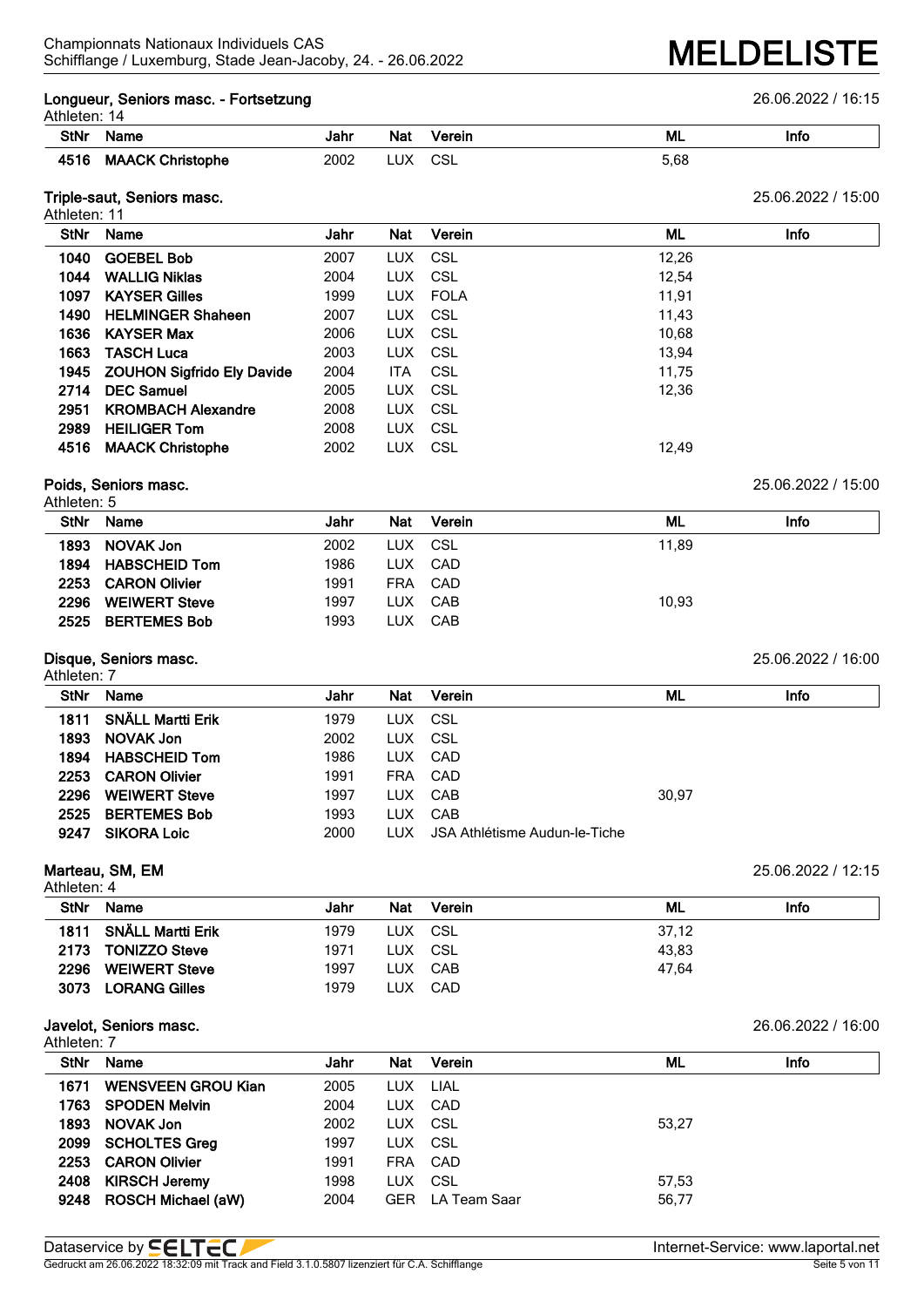## **Longueur, Seniors masc. - Fortsetzung** 26.06.2022 / 16:15

| Athleten: 14 |
|--------------|
|--------------|

| AUTERIT.<br>- 14 |                            |      |             |           |      |      |  |  |  |  |
|------------------|----------------------------|------|-------------|-----------|------|------|--|--|--|--|
| StNr             | Name                       | Jahr | Nat         | Verein    | ML   | Info |  |  |  |  |
|                  | <b>MAACK</b><br>Christophe | 2002 | שוי<br>−∪∧⊹ | ای<br>◡◡∟ | 5.68 |      |  |  |  |  |

# **Triple-saut, Seniors masc.** 25.06.2022 / 15:00

| Athleten: 11 |                                 |      |            |          |       |             |
|--------------|---------------------------------|------|------------|----------|-------|-------------|
| <b>StNr</b>  | Name                            | Jahr | Nat        | Verein   | ML    | <b>Info</b> |
| 1040         | <b>GOEBEL Bob</b>               | 2007 |            | LUX CSL  | 12,26 |             |
| 1044         | <b>WALLIG Niklas</b>            | 2004 | LUX CSL    |          | 12.54 |             |
| 1097         | <b>KAYSER Gilles</b>            | 1999 |            | LUX FOLA | 11,91 |             |
| 1490         | <b>HELMINGER Shaheen</b>        | 2007 | LUX CSL    |          | 11,43 |             |
| 1636         | <b>KAYSER Max</b>               | 2006 |            | LUX CSL  | 10,68 |             |
| 1663         | <b>TASCH Luca</b>               | 2003 | LUX CSL    |          | 13.94 |             |
|              | 1945 ZOUHON Sigfrido Ely Davide | 2004 | <b>ITA</b> | CSL      | 11,75 |             |
| 2714         | <b>DEC Samuel</b>               | 2005 | LUX CSL    |          | 12,36 |             |
| 2951         | <b>KROMBACH Alexandre</b>       | 2008 |            | LUX CSL  |       |             |
| 2989         | <b>HEILIGER Tom</b>             | 2008 | LUX CSL    |          |       |             |
| 4516         | <b>MAACK Christophe</b>         | 2002 | LUX.       | - CSL    | 12,49 |             |

### **Poids, Seniors masc.** 25.06.2022 / 15:00 Athleten: 5

| הנוווסנסוו. ט        |      |            |        |                                     |      |  |
|----------------------|------|------------|--------|-------------------------------------|------|--|
| Name                 | Jahr | <b>Nat</b> | Verein | ML                                  | Info |  |
| <b>NOVAK Jon</b>     | 2002 |            |        | 11.89                               |      |  |
| <b>HABSCHEID Tom</b> | 1986 | LUX        |        |                                     |      |  |
| <b>CARON Olivier</b> | 1991 | <b>FRA</b> |        |                                     |      |  |
| <b>WEIWERT Steve</b> | 1997 | LUX        |        | 10.93                               |      |  |
| <b>BERTEMES Bob</b>  | 1993 | LUX        |        |                                     |      |  |
|                      |      |            |        | LUX CSL<br>CAD<br>CAD<br>CAB<br>CAB |      |  |

## **Disque, Seniors masc.** 25.06.2022 / 16:00

| Athleten: 7 | $-10$                    |      |      |                               |       | __.__.___ <i>_</i> ____________ |
|-------------|--------------------------|------|------|-------------------------------|-------|---------------------------------|
| StNr        | Name                     | Jahr | Nat  | Verein                        | ML    | Info                            |
| 1811        | <b>SNÄLL Martti Erik</b> | 1979 |      | LUX CSL                       |       |                                 |
| 1893        | <b>NOVAK Jon</b>         | 2002 |      | LUX CSL                       |       |                                 |
|             | 1894 HABSCHEID Tom       | 1986 |      | LUX CAD                       |       |                                 |
|             | 2253 CARON Olivier       | 1991 |      | FRA CAD                       |       |                                 |
| 2296        | <b>WEIWERT Steve</b>     | 1997 |      | LUX CAB                       | 30,97 |                                 |
| 2525        | <b>BERTEMES Bob</b>      | 1993 |      | LUX CAB                       |       |                                 |
| 9247        | <b>SIKORA Loic</b>       | 2000 | LUX. | JSA Athlétisme Audun-le-Tiche |       |                                 |

## **Marteau, SM, EM** 25.06.2022 / 12:15

| Athleten: 4 |                          |      |     |         |       |      |  |  |  |  |
|-------------|--------------------------|------|-----|---------|-------|------|--|--|--|--|
| <b>StNr</b> | Name                     | Jahr | Nat | Verein  | ML    | Info |  |  |  |  |
| 1811        | <b>SNÄLL Martti Erik</b> | 1979 |     | LUX CSL | 37.12 |      |  |  |  |  |
| 2173        | <b>TONIZZO Steve</b>     | 1971 |     | LUX CSL | 43.83 |      |  |  |  |  |
| 2296        | <b>WEIWERT Steve</b>     | 1997 |     | LUX CAB | 47.64 |      |  |  |  |  |
| 3073        | <b>LORANG Gilles</b>     | 1979 | LUX | CAD     |       |      |  |  |  |  |

### **Javelot, Seniors masc.** 26.06.2022 / 16:00 Athleten: 7

| Atmeten. 7  |                           |      |            |                         |       |      |
|-------------|---------------------------|------|------------|-------------------------|-------|------|
| <b>StNr</b> | Name                      | Jahr | <b>Nat</b> | Verein                  | ML    | Info |
| 1671        | <b>WENSVEEN GROU Kian</b> | 2005 | LUX LIAL   |                         |       |      |
|             | 1763 SPODEN Melvin        | 2004 | LUX CAD    |                         |       |      |
| 1893        | NOVAK Jon                 | 2002 | LUX CSL    |                         | 53,27 |      |
|             | 2099 SCHOLTES Greg        | 1997 | LUX CSL    |                         |       |      |
| 2253        | <b>CARON Olivier</b>      | 1991 |            | FRA CAD                 |       |      |
| 2408        | <b>KIRSCH Jeremy</b>      | 1998 | LUX CSL    |                         | 57.53 |      |
|             | 9248 ROSCH Michael (aW)   | 2004 |            | <b>GER</b> LA Team Saar | 56,77 |      |
|             |                           |      |            |                         |       |      |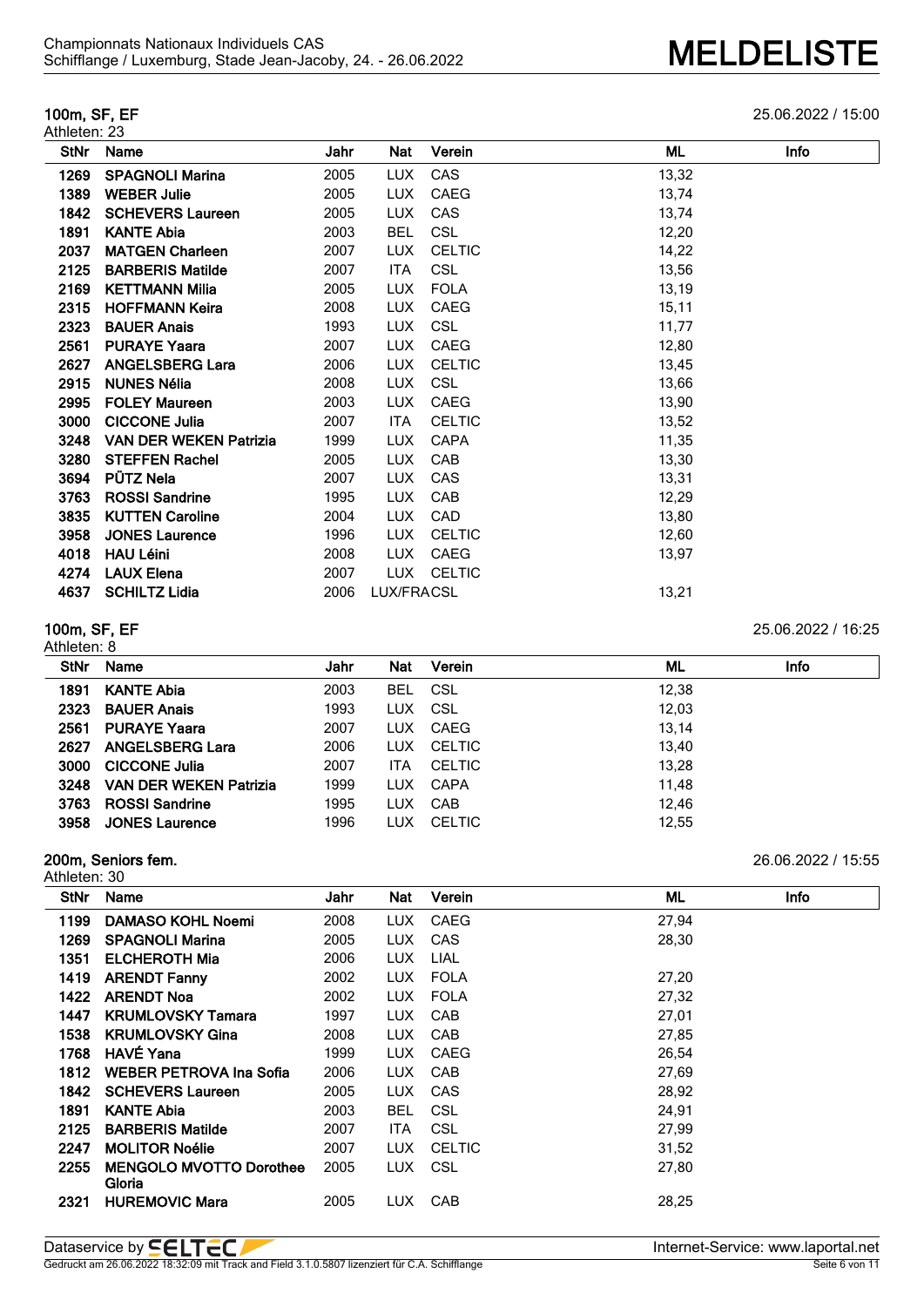# Athleten: 23

**100m, SF, EF** 25.06.2022 / 15:00

| <b>StNr</b> | Name                          | Jahr | Nat        | Verein        | ML     | Info |
|-------------|-------------------------------|------|------------|---------------|--------|------|
| 1269        | <b>SPAGNOLI Marina</b>        | 2005 | <b>LUX</b> | CAS           | 13,32  |      |
| 1389        | <b>WEBER Julie</b>            | 2005 | <b>LUX</b> | CAEG          | 13,74  |      |
| 1842        | <b>SCHEVERS Laureen</b>       | 2005 | <b>LUX</b> | CAS           | 13,74  |      |
| 1891        | <b>KANTE Abia</b>             | 2003 | <b>BEL</b> | <b>CSL</b>    | 12,20  |      |
| 2037        | <b>MATGEN Charleen</b>        | 2007 | <b>LUX</b> | <b>CELTIC</b> | 14,22  |      |
| 2125        | <b>BARBERIS Matilde</b>       | 2007 | ITA        | <b>CSL</b>    | 13,56  |      |
| 2169        | <b>KETTMANN Milia</b>         | 2005 | <b>LUX</b> | <b>FOLA</b>   | 13,19  |      |
| 2315        | <b>HOFFMANN Keira</b>         | 2008 | <b>LUX</b> | CAEG          | 15, 11 |      |
| 2323        | <b>BAUER Anais</b>            | 1993 | <b>LUX</b> | <b>CSL</b>    | 11,77  |      |
| 2561        | <b>PURAYE Yaara</b>           | 2007 | LUX.       | CAEG          | 12,80  |      |
| 2627        | <b>ANGELSBERG Lara</b>        | 2006 | <b>LUX</b> | <b>CELTIC</b> | 13,45  |      |
| 2915        | <b>NUNES Nélia</b>            | 2008 | <b>LUX</b> | <b>CSL</b>    | 13,66  |      |
| 2995        | <b>FOLEY Maureen</b>          | 2003 | <b>LUX</b> | CAEG          | 13,90  |      |
| 3000        | <b>CICCONE Julia</b>          | 2007 | ITA        | <b>CELTIC</b> | 13,52  |      |
| 3248        | <b>VAN DER WEKEN Patrizia</b> | 1999 | <b>LUX</b> | <b>CAPA</b>   | 11,35  |      |
| 3280        | <b>STEFFEN Rachel</b>         | 2005 | <b>LUX</b> | <b>CAB</b>    | 13,30  |      |
| 3694        | <b>PÜTZ Nela</b>              | 2007 | <b>LUX</b> | <b>CAS</b>    | 13,31  |      |
| 3763        | <b>ROSSI Sandrine</b>         | 1995 | <b>LUX</b> | CAB           | 12,29  |      |
| 3835        | <b>KUTTEN Caroline</b>        | 2004 | <b>LUX</b> | CAD           | 13,80  |      |
| 3958        | <b>JONES Laurence</b>         | 1996 | <b>LUX</b> | <b>CELTIC</b> | 12,60  |      |
| 4018        | <b>HAU Léini</b>              | 2008 | <b>LUX</b> | CAEG          | 13,97  |      |
| 4274        | <b>LAUX Elena</b>             | 2007 | <b>LUX</b> | <b>CELTIC</b> |        |      |
| 4637        | <b>SCHILTZ Lidia</b>          | 2006 | LUX/FRACSL |               | 13,21  |      |
|             |                               |      |            |               |        |      |

# **100m, SF, EF** 25.06.2022 / 16:25

Athleten: 8 **StNr Name Jahr Nat Verein ML Info KANTE Abia** 2003 BEL CSL 12,38 **BAUER Anais** 1993 LUX CSL 12,03 **PURAYE Yaara** 2007 LUX CAEG 13,14 **ANGELSBERG Lara** 2006 LUX CELTIC 13,40 **CICCONE Julia** 2007 ITA CELTIC 13,28 **VAN DER WEKEN Patrizia** 1999 LUX CAPA 11,48 **ROSSI Sandrine** 1995 LUX CAB 12,46 **3958 JONES Laurence** 1996 LUX CELTIC 12,55

## **200m, Seniors fem.** 26.06.2022 / 15:55

Athleten: 30

| <b>StNr</b> | Name                                     | Jahr | Nat        | Verein        | ML    | Info |
|-------------|------------------------------------------|------|------------|---------------|-------|------|
| 1199        | <b>DAMASO KOHL Noemi</b>                 | 2008 | LUX.       | CAEG          | 27,94 |      |
| 1269        | <b>SPAGNOLI Marina</b>                   | 2005 | <b>LUX</b> | CAS           | 28,30 |      |
| 1351        | <b>ELCHEROTH Mia</b>                     | 2006 | <b>LUX</b> | LIAL          |       |      |
| 1419        | <b>ARENDT Fanny</b>                      | 2002 | <b>LUX</b> | <b>FOLA</b>   | 27,20 |      |
| 1422        | <b>ARENDT Noa</b>                        | 2002 | <b>LUX</b> | <b>FOLA</b>   | 27,32 |      |
| 1447        | <b>KRUMLOVSKY Tamara</b>                 | 1997 | <b>LUX</b> | CAB           | 27,01 |      |
| 1538        | <b>KRUMLOVSKY Gina</b>                   | 2008 | <b>LUX</b> | CAB           | 27,85 |      |
| 1768        | <b>HAVÉ Yana</b>                         | 1999 | LUX.       | <b>CAEG</b>   | 26.54 |      |
| 1812        | <b>WEBER PETROVA Ina Sofia</b>           | 2006 | LUX.       | CAB           | 27,69 |      |
| 1842        | <b>SCHEVERS Laureen</b>                  | 2005 | <b>LUX</b> | CAS           | 28,92 |      |
| 1891        | <b>KANTE Abia</b>                        | 2003 | <b>BEL</b> | <b>CSL</b>    | 24,91 |      |
| 2125        | <b>BARBERIS Matilde</b>                  | 2007 | <b>ITA</b> | <b>CSL</b>    | 27,99 |      |
| 2247        | <b>MOLITOR Noélie</b>                    | 2007 | <b>LUX</b> | <b>CELTIC</b> | 31,52 |      |
| 2255        | <b>MENGOLO MVOTTO Dorothee</b><br>Gloria | 2005 | LUX.       | CSL           | 27,80 |      |
| 2321        | <b>HUREMOVIC Mara</b>                    | 2005 | LUX        | CAB           | 28,25 |      |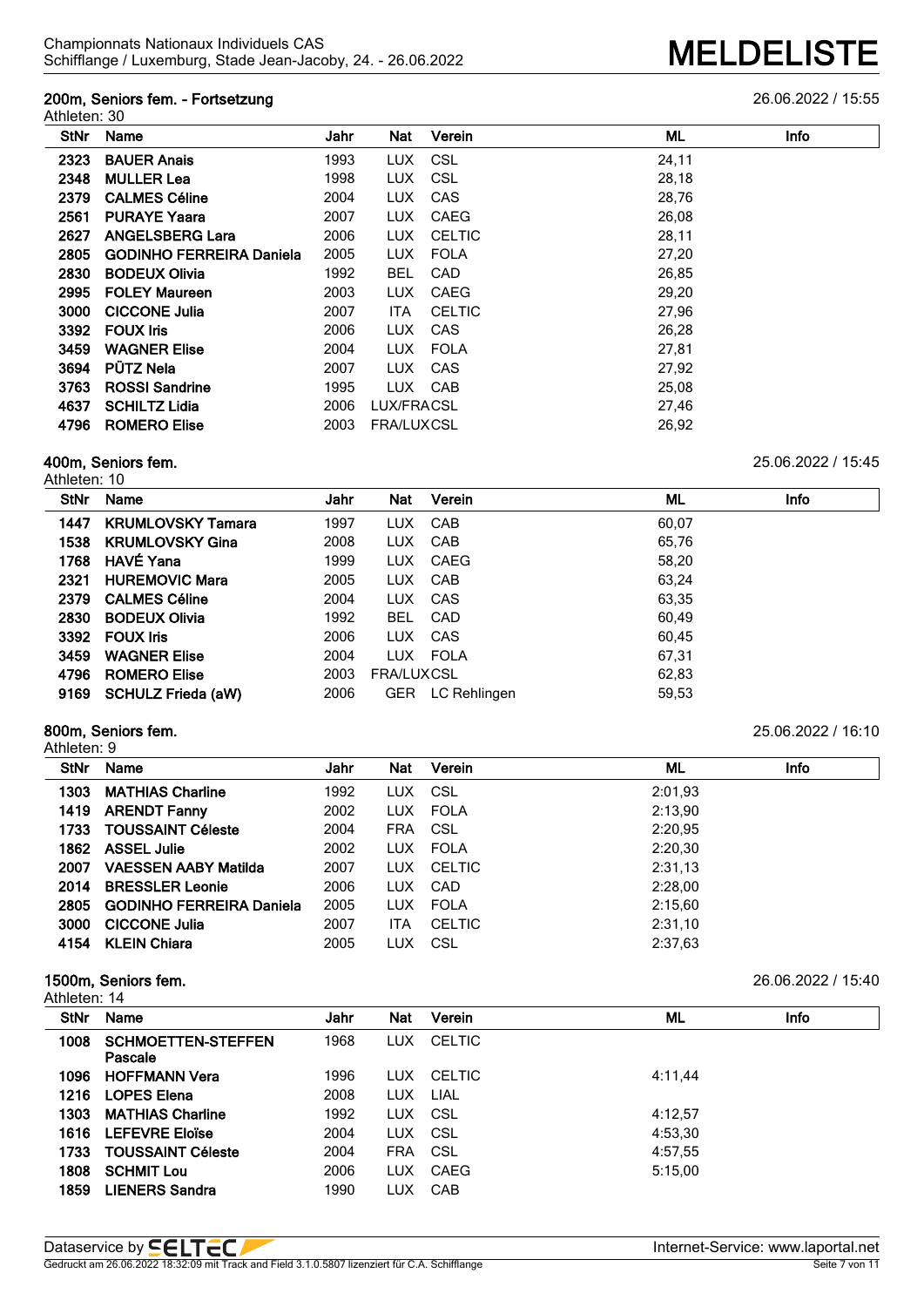### **200m, Seniors fem. - Fortsetzung** 26.06.2022 / 15:55 Athleten: 30

| StNr | Name                            | Jahr | Nat               | Verein        | ML<br>Info |
|------|---------------------------------|------|-------------------|---------------|------------|
| 2323 | <b>BAUER Anais</b>              | 1993 | LUX.              | CSL           | 24,11      |
| 2348 | <b>MULLER Lea</b>               | 1998 | <b>LUX</b>        | <b>CSL</b>    | 28,18      |
| 2379 | <b>CALMES Céline</b>            | 2004 | <b>LUX</b>        | CAS           | 28,76      |
| 2561 | <b>PURAYE Yaara</b>             | 2007 | <b>LUX</b>        | <b>CAEG</b>   | 26,08      |
| 2627 | <b>ANGELSBERG Lara</b>          | 2006 | <b>LUX</b>        | <b>CELTIC</b> | 28,11      |
| 2805 | <b>GODINHO FERREIRA Daniela</b> | 2005 | LUX.              | <b>FOLA</b>   | 27,20      |
| 2830 | <b>BODEUX Olivia</b>            | 1992 | <b>BEL</b>        | <b>CAD</b>    | 26,85      |
| 2995 | <b>FOLEY Maureen</b>            | 2003 | <b>LUX</b>        | <b>CAEG</b>   | 29,20      |
| 3000 | <b>CICCONE Julia</b>            | 2007 | ITA               | <b>CELTIC</b> | 27,96      |
| 3392 | <b>FOUX Iris</b>                | 2006 | <b>LUX</b>        | <b>CAS</b>    | 26,28      |
| 3459 | <b>WAGNER Elise</b>             | 2004 | LUX.              | <b>FOLA</b>   | 27,81      |
| 3694 | <b>PÜTZ Nela</b>                | 2007 | LUX.              | CAS           | 27,92      |
| 3763 | <b>ROSSI Sandrine</b>           | 1995 | LUX.              | CAB           | 25,08      |
| 4637 | <b>SCHILTZ Lidia</b>            | 2006 | LUX/FRACSL        |               | 27,46      |
| 4796 | <b>ROMERO Elise</b>             | 2003 | <b>FRA/LUXCSL</b> |               | 26,92      |
|      |                                 |      |                   |               |            |

# **400m, Seniors fem.** 25.06.2022 / 15:45

Athleten: 10

| <b>StNr</b> | <b>Name</b>               | Jahr | <b>Nat</b>        | Verein       | ML    | Info |
|-------------|---------------------------|------|-------------------|--------------|-------|------|
| 1447        | <b>KRUMLOVSKY Tamara</b>  | 1997 | <b>LUX</b>        | CAB          | 60,07 |      |
| 1538        | <b>KRUMLOVSKY Gina</b>    | 2008 | LUX.              | CAB          | 65,76 |      |
| 1768        | HAVÉ Yana                 | 1999 | LUX               | CAEG         | 58.20 |      |
| 2321        | <b>HUREMOVIC Mara</b>     | 2005 | <b>LUX</b>        | CAB          | 63,24 |      |
| 2379        | <b>CALMES Céline</b>      | 2004 |                   | LUX CAS      | 63,35 |      |
| 2830        | <b>BODEUX Olivia</b>      | 1992 | <b>BEL</b>        | CAD          | 60.49 |      |
| 3392        | <b>FOUX Iris</b>          | 2006 | LUX.              | CAS          | 60.45 |      |
| 3459        | <b>WAGNER Elise</b>       | 2004 |                   | LUX FOLA     | 67.31 |      |
| 4796        | <b>ROMERO Elise</b>       | 2003 | <b>FRA/LUXCSL</b> |              | 62,83 |      |
| 9169        | <b>SCHULZ Frieda (aW)</b> | 2006 | <b>GER</b>        | LC Rehlingen | 59,53 |      |

### **800m, Seniors fem.** 25.06.2022 / 16:10 Athleten: 9

| StNr | Name                          | Jahr | Nat        | Verein        | ML      | <b>Info</b> |
|------|-------------------------------|------|------------|---------------|---------|-------------|
| 1303 | <b>MATHIAS Charline</b>       | 1992 | <b>LUX</b> | CSL           | 2:01.93 |             |
|      | 1419 ARENDT Fanny             | 2002 |            | LUX FOLA      | 2:13.90 |             |
| 1733 | <b>TOUSSAINT Céleste</b>      | 2004 | <b>FRA</b> | - CSL         | 2:20,95 |             |
| 1862 | ASSEL Julie                   | 2002 |            | LUX FOLA      | 2:20,30 |             |
| 2007 | VAESSEN AABY Matilda          | 2007 |            | LUX CELTIC    | 2:31.13 |             |
| 2014 | <b>BRESSLER Leonie</b>        | 2006 | <b>LUX</b> | CAD           | 2:28.00 |             |
|      | 2805 GODINHO FERREIRA Daniela | 2005 |            | LUX FOLA      | 2:15.60 |             |
| 3000 | <b>CICCONE Julia</b>          | 2007 | ITA.       | <b>CELTIC</b> | 2:31.10 |             |
|      | 4154 KLEIN Chiara             | 2005 | <b>LUX</b> | CSL           | 2:37.63 |             |
|      |                               |      |            |               |         |             |

### **1500m, Seniors fem.** 26.06.2022 / 15:40

| Athleten: 14 |  |
|--------------|--|
|              |  |

| <b>StNr</b> | Name                                 | Jahr | <b>Nat</b> | Verein        | ML      | Info |
|-------------|--------------------------------------|------|------------|---------------|---------|------|
| 1008        | <b>SCHMOETTEN-STEFFEN</b><br>Pascale | 1968 | LUX        | <b>CELTIC</b> |         |      |
| 1096        | <b>HOFFMANN Vera</b>                 | 1996 | <b>LUX</b> | <b>CELTIC</b> | 4:11.44 |      |
| 1216        | <b>LOPES Elena</b>                   | 2008 | <b>LUX</b> | LIAL          |         |      |
| 1303        | <b>MATHIAS Charline</b>              | 1992 | LUX.       | CSL           | 4:12.57 |      |
| 1616        | <b>LEFEVRE Eloïse</b>                | 2004 | LUX        | <b>CSL</b>    | 4:53.30 |      |
| 1733        | <b>TOUSSAINT Céleste</b>             | 2004 | <b>FRA</b> | CSL           | 4:57.55 |      |
| 1808        | <b>SCHMIT Lou</b>                    | 2006 | LUX        | CAEG          | 5:15.00 |      |
| 1859        | <b>LIENERS Sandra</b>                | 1990 | LUX        | CAB           |         |      |
|             |                                      |      |            |               |         |      |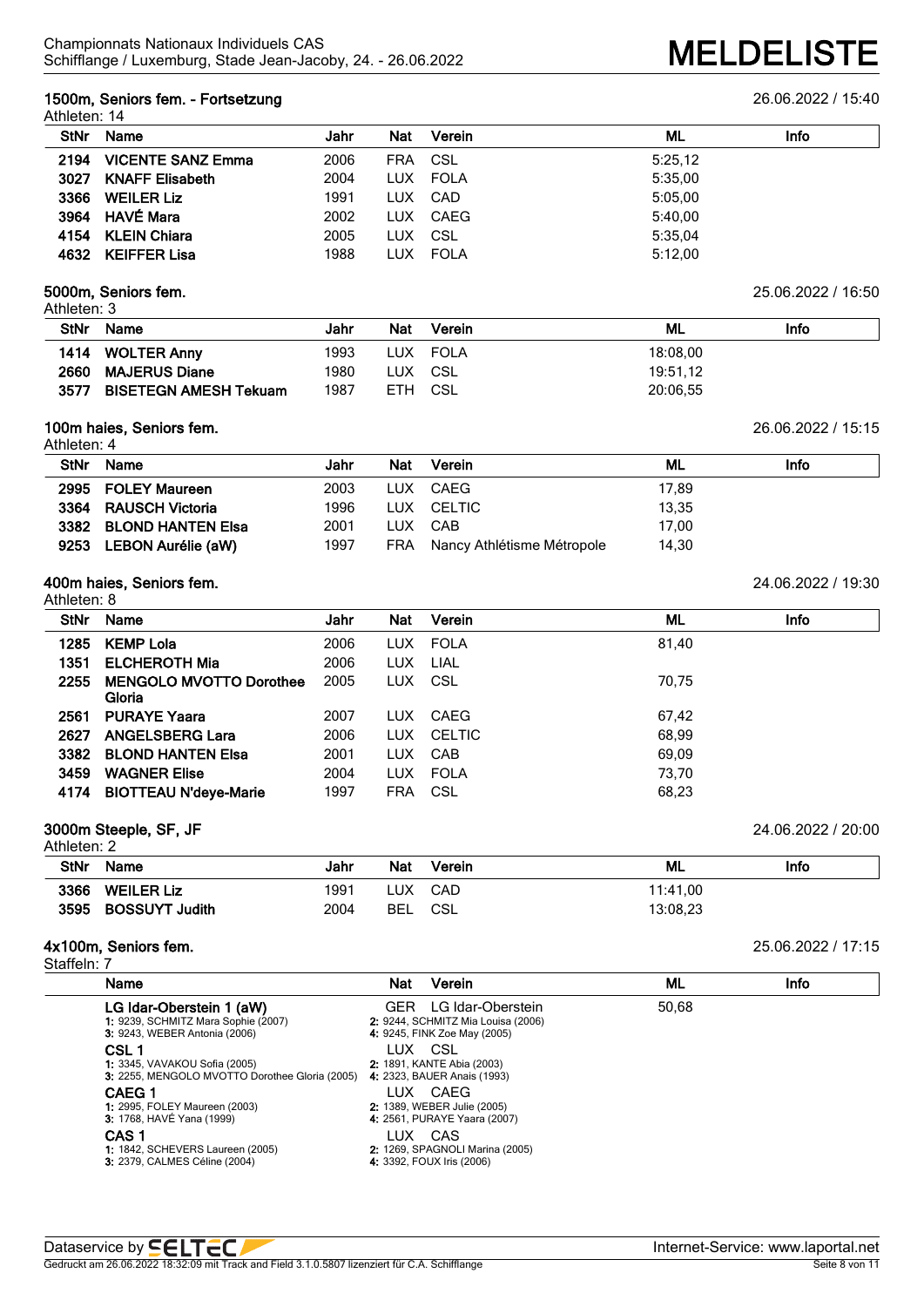## **1500m, Seniors fem. - Fortsetzung** 26.06.2022 / 15:40

|      | StNr Name              | Jahr | Nat | Verein   | ML      | Info |
|------|------------------------|------|-----|----------|---------|------|
|      | 2194 VICENTE SANZ Emma | 2006 |     | FRA CSL  | 5:25.12 |      |
| 3027 | <b>KNAFF Elisabeth</b> | 2004 |     | LUX FOLA | 5:35.00 |      |
|      | 3366 WEILER Liz        | 1991 |     | LUX CAD  | 5:05.00 |      |
|      | 3964 HAVÉ Mara         | 2002 |     | LUX CAEG | 5:40.00 |      |
|      | 4154 KLEIN Chiara      | 2005 |     | LUX CSL  | 5:35.04 |      |
|      | 4632 KEIFFER Lisa      | 1988 |     | LUX FOLA | 5:12,00 |      |

### **5000m, Seniors fem.** 25.06.2022 / 16:50 Athleten: 3

| <b>StNr</b> | <b>Name</b>                  | Jahr | <b>Nat</b> | Verein | ML       | Info |
|-------------|------------------------------|------|------------|--------|----------|------|
|             | 1414 WOLTER Anny             | 1993 | LUX        | FOLA   | 18:08.00 |      |
| 2660        | <b>MAJERUS Diane</b>         | 1980 | ∟UX.       | - CSL  | 19:51.12 |      |
| 3577        | <b>BISETEGN AMESH Tekuam</b> | 1987 | ETH.       | CSL    | 20:06.55 |      |

## **100m haies, Seniors fem.** 26.06.2022 / 15:15

Athleten: 4

| <b>StNr</b> | Name                   | Jahr | Nat | Verein                     | ML    | Info |
|-------------|------------------------|------|-----|----------------------------|-------|------|
|             |                        |      |     |                            |       |      |
|             | 2995 FOLEY Maureen     | 2003 |     | LUX CAEG                   | 17,89 |      |
|             | 3364 RAUSCH Victoria   | 1996 |     | LUX CELTIC                 | 13.35 |      |
|             | 3382 BLOND HANTEN Elsa | 2001 |     | LUX CAB                    | 17.00 |      |
| 9253        | LEBON Aurélie (aW)     | 1997 | FRA | Nancy Athlétisme Métropole | 14,30 |      |

# **400m haies, Seniors fem.** 24.06.2022 / 19:30

| Athleten: 8 |                                |      |            |            |       |      |
|-------------|--------------------------------|------|------------|------------|-------|------|
| <b>StNr</b> | Name                           | Jahr | <b>Nat</b> | Verein     | ML    | Info |
| 1285        | <b>KEMP Lola</b>               | 2006 |            | LUX FOLA   | 81,40 |      |
| 1351        | <b>ELCHEROTH Mia</b>           | 2006 | LUX LIAL   |            |       |      |
| 2255        | <b>MENGOLO MVOTTO Dorothee</b> | 2005 | LUX CSL    |            | 70.75 |      |
|             | Gloria                         |      |            |            |       |      |
| 2561        | <b>PURAYE Yaara</b>            | 2007 |            | LUX CAEG   | 67,42 |      |
| 2627        | <b>ANGELSBERG Lara</b>         | 2006 |            | LUX CELTIC | 68,99 |      |
| 3382        | <b>BLOND HANTEN Elsa</b>       | 2001 |            | LUX CAB    | 69.09 |      |
| 3459        | <b>WAGNER Elise</b>            | 2004 |            | LUX FOLA   | 73,70 |      |
| 4174        | <b>BIOTTEAU N'deye-Marie</b>   | 1997 | <b>FRA</b> | CSL        | 68,23 |      |
|             |                                |      |            |            |       |      |

# **3000m Steeple, SF, JF** 24.06.2022 / 20:00

| Athleten: 2 |                     |      |            |        |          |      |  |
|-------------|---------------------|------|------------|--------|----------|------|--|
| <b>StNr</b> | Name                | Jahr | <b>Nat</b> | Verein | ML       | Info |  |
| 3366        | <b>WEILER Liz</b>   | 1991 | LUX .      | CAD    | 11:41.00 |      |  |
|             | 3595 BOSSUYT Judith | 2004 | BEL        | CSL    | 13:08,23 |      |  |

## **4x100m, Seniors fem.** 25.06.2022 / 17:15

Staffeln: 7

| Name                                                                                                    | Verein<br>Nat                                                                                  | ML    | Info |
|---------------------------------------------------------------------------------------------------------|------------------------------------------------------------------------------------------------|-------|------|
| LG Idar-Oberstein 1 (aW)<br>1: 9239, SCHMITZ Mara Sophie (2007)<br><b>3: 9243, WEBER Antonia (2006)</b> | LG Idar-Oberstein<br>GFR<br>2: 9244, SCHMITZ Mia Louisa (2006)<br>4: 9245, FINK Zoe May (2005) | 50,68 |      |
| CSL 1<br><b>1:</b> 3345, VAVAKOU Sofia (2005)<br>3: 2255, MENGOLO MVOTTO Dorothee Gloria (2005)         | LUX.<br>- CSL<br>2: 1891, KANTE Abia (2003)<br>4: 2323, BAUER Anais (1993)                     |       |      |
| <b>CAEG1</b><br><b>1:</b> 2995, FOLEY Maureen (2003)<br>3: 1768, HAVÉ Yana (1999)                       | CAEG<br>LUX.<br>2: 1389, WEBER Julie (2005)<br>4: 2561, PURAYE Yaara (2007)                    |       |      |
| CAS <sub>1</sub><br><b>1: 1842, SCHEVERS Laureen (2005)</b><br>3: 2379, CALMES Céline (2004)            | LUX<br>CAS<br>2: 1269, SPAGNOLI Marina (2005)<br>4: 3392, FOUX Iris (2006)                     |       |      |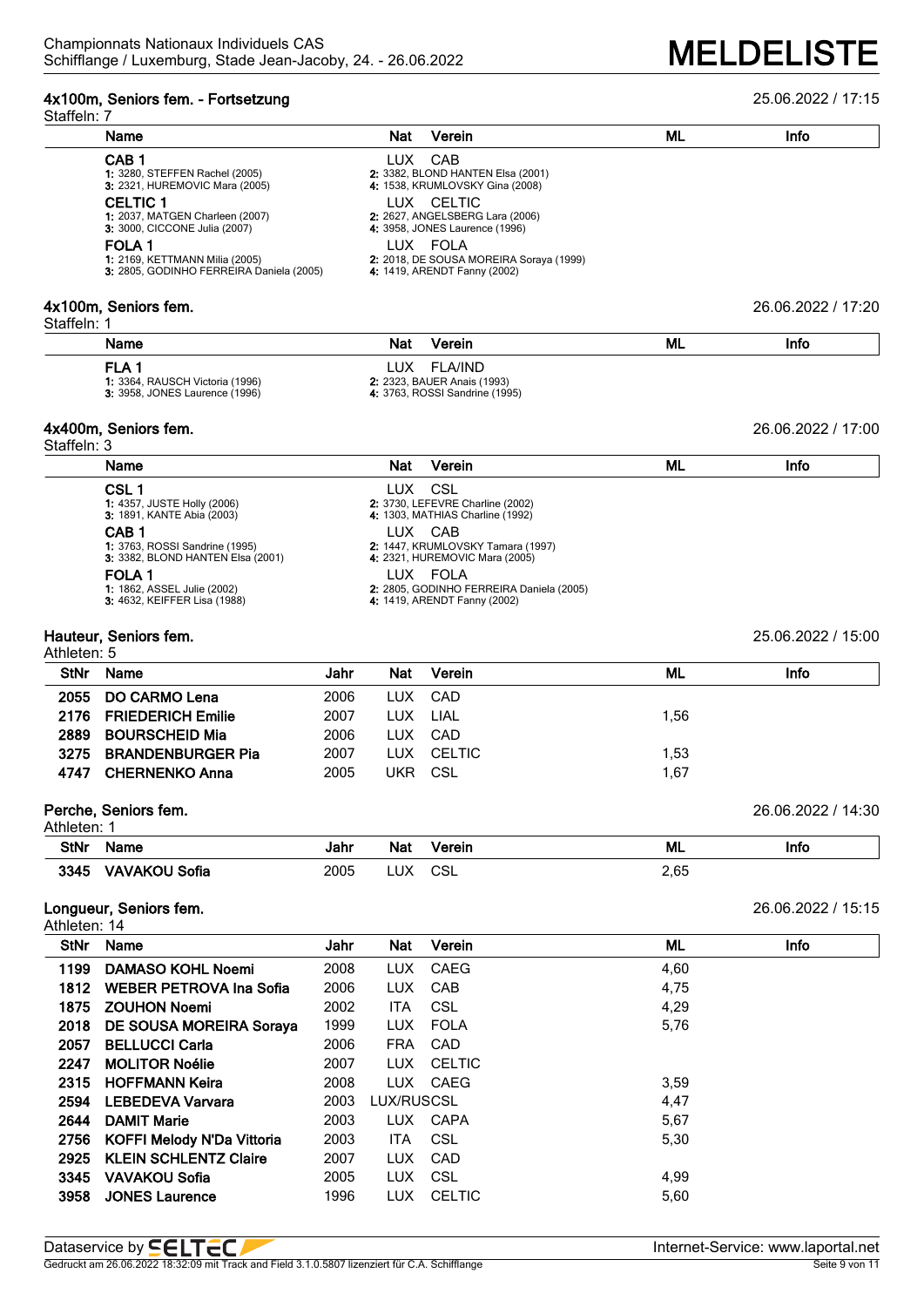# **4x100m, Seniors fem. - Fortsetzung** 25.06.2022 / 17:15

| Staffeln: 7  |                                                                                                                                                                                                                                                              |              |                          |                                                                                                                                                                                                                                                              |              |                    |
|--------------|--------------------------------------------------------------------------------------------------------------------------------------------------------------------------------------------------------------------------------------------------------------|--------------|--------------------------|--------------------------------------------------------------------------------------------------------------------------------------------------------------------------------------------------------------------------------------------------------------|--------------|--------------------|
|              | Name                                                                                                                                                                                                                                                         |              | <b>Nat</b>               | Verein                                                                                                                                                                                                                                                       | ML           | Info               |
|              | CAB <sub>1</sub><br>1: 3280, STEFFEN Rachel (2005)<br>3: 2321, HUREMOVIC Mara (2005)<br><b>CELTIC 1</b><br>1: 2037, MATGEN Charleen (2007)<br>3: 3000, CICCONE Julia (2007)<br>FOLA <sub>1</sub><br>1: 2169, KETTMANN Milia (2005)                           |              |                          | LUX CAB<br>2: 3382, BLOND HANTEN Elsa (2001)<br>4: 1538, KRUMLOVSKY Gina (2008)<br>LUX CELTIC<br>2: 2627, ANGELSBERG Lara (2006)<br>4: 3958, JONES Laurence (1996)<br>LUX FOLA<br>2: 2018, DE SOUSA MOREIRA Soraya (1999)                                    |              |                    |
|              | 3: 2805, GODINHO FERREIRA Daniela (2005)                                                                                                                                                                                                                     |              |                          | 4: 1419, ARENDT Fanny (2002)                                                                                                                                                                                                                                 |              |                    |
| Staffeln: 1  | 4x100m, Seniors fem.                                                                                                                                                                                                                                         |              |                          |                                                                                                                                                                                                                                                              |              | 26.06.2022 / 17:20 |
|              | Name                                                                                                                                                                                                                                                         |              | <b>Nat</b>               | Verein                                                                                                                                                                                                                                                       | <b>ML</b>    | Info               |
|              | FLA <sub>1</sub><br>1: 3364, RAUSCH Victoria (1996)<br>3: 3958, JONES Laurence (1996)                                                                                                                                                                        |              | LUX.                     | <b>FLA/IND</b><br>2: 2323, BAUER Anais (1993)<br>4: 3763, ROSSI Sandrine (1995)                                                                                                                                                                              |              |                    |
| Staffeln: 3  | 4x400m, Seniors fem.                                                                                                                                                                                                                                         |              |                          |                                                                                                                                                                                                                                                              |              | 26.06.2022 / 17:00 |
|              | Name                                                                                                                                                                                                                                                         |              | <b>Nat</b>               | Verein                                                                                                                                                                                                                                                       | ML           | Info               |
|              | CSL <sub>1</sub><br>1: 4357, JUSTE Holly (2006)<br>3: 1891, KANTE Abia (2003)<br>CAB <sub>1</sub><br>1: 3763, ROSSI Sandrine (1995)<br>3: 3382, BLOND HANTEN Elsa (2001)<br>FOLA <sub>1</sub><br>1: 1862, ASSEL Julie (2002)<br>3: 4632, KEIFFER Lisa (1988) |              | LUX.                     | <b>CSL</b><br>2: 3730, LEFEVRE Charline (2002)<br>4: 1303, MATHIAS Charline (1992)<br>LUX CAB<br>2: 1447, KRUMLOVSKY Tamara (1997)<br>4: 2321, HUREMOVIC Mara (2005)<br>LUX FOLA<br>2: 2805, GODINHO FERREIRA Daniela (2005)<br>4: 1419, ARENDT Fanny (2002) |              |                    |
| Athleten: 5  | Hauteur, Seniors fem.                                                                                                                                                                                                                                        |              |                          |                                                                                                                                                                                                                                                              |              | 25.06.2022 / 15:00 |
| <b>StNr</b>  | Name                                                                                                                                                                                                                                                         | Jahr         | Nat                      | Verein                                                                                                                                                                                                                                                       | ML           | Info               |
| 2055         | <b>DO CARMO Lena</b>                                                                                                                                                                                                                                         | 2006         | <b>LUX</b>               | CAD                                                                                                                                                                                                                                                          |              |                    |
| 2176         | <b>FRIEDERICH Emilie</b>                                                                                                                                                                                                                                     | 2007         | LUX                      | LIAL                                                                                                                                                                                                                                                         | 1,56         |                    |
| 2889         | <b>BOURSCHEID Mia</b>                                                                                                                                                                                                                                        | 2006         | LUX                      | CAD                                                                                                                                                                                                                                                          |              |                    |
| 3275<br>4747 | <b>BRANDENBURGER Pia</b><br><b>CHERNENKO Anna</b>                                                                                                                                                                                                            | 2007<br>2005 | LUX.<br><b>UKR</b>       | <b>CELTIC</b><br>CSL                                                                                                                                                                                                                                         | 1,53<br>1,67 |                    |
| Athleten: 1  | Perche, Seniors fem.                                                                                                                                                                                                                                         |              |                          |                                                                                                                                                                                                                                                              |              | 26.06.2022 / 14:30 |
| <b>StNr</b>  | Name                                                                                                                                                                                                                                                         | Jahr         | <b>Nat</b>               | Verein                                                                                                                                                                                                                                                       | <b>ML</b>    | Info               |
| 3345         | <b>VAVAKOU Sofia</b>                                                                                                                                                                                                                                         | 2005         | <b>LUX</b>               | CSL                                                                                                                                                                                                                                                          | 2,65         |                    |
| Athleten: 14 | Longueur, Seniors fem.                                                                                                                                                                                                                                       |              |                          |                                                                                                                                                                                                                                                              |              | 26.06.2022 / 15:15 |
| <b>StNr</b>  | Name                                                                                                                                                                                                                                                         | Jahr         | Nat                      | Verein                                                                                                                                                                                                                                                       | ML           | Info               |
| 1199         | <b>DAMASO KOHL Noemi</b>                                                                                                                                                                                                                                     | 2008         | <b>LUX</b>               | CAEG                                                                                                                                                                                                                                                         | 4,60         |                    |
| 1812         | WEBER PETROVA Ina Sofia                                                                                                                                                                                                                                      | 2006         | <b>LUX</b>               | CAB                                                                                                                                                                                                                                                          | 4,75         |                    |
| 1875         | <b>ZOUHON Noemi</b>                                                                                                                                                                                                                                          | 2002         | <b>ITA</b>               | <b>CSL</b>                                                                                                                                                                                                                                                   | 4,29         |                    |
| 2018         | DE SOUSA MOREIRA Soraya                                                                                                                                                                                                                                      | 1999         | <b>LUX</b>               | <b>FOLA</b>                                                                                                                                                                                                                                                  | 5,76         |                    |
| 2057         | <b>BELLUCCI Carla</b>                                                                                                                                                                                                                                        | 2006         | <b>FRA</b>               | CAD                                                                                                                                                                                                                                                          |              |                    |
| 2247         | <b>MOLITOR Noélie</b>                                                                                                                                                                                                                                        | 2007         | <b>LUX</b>               | <b>CELTIC</b>                                                                                                                                                                                                                                                |              |                    |
| 2315         | <b>HOFFMANN Keira</b>                                                                                                                                                                                                                                        | 2008         | <b>LUX</b>               | CAEG                                                                                                                                                                                                                                                         | 3,59         |                    |
| 2594         | <b>LEBEDEVA Varvara</b>                                                                                                                                                                                                                                      | 2003         | LUX/RUSCSL               |                                                                                                                                                                                                                                                              | 4,47         |                    |
| 2644         | <b>DAMIT Marie</b>                                                                                                                                                                                                                                           | 2003         | <b>LUX</b>               | CAPA                                                                                                                                                                                                                                                         | 5,67         |                    |
| 2756         | <b>KOFFI Melody N'Da Vittoria</b>                                                                                                                                                                                                                            | 2003         | <b>ITA</b>               | <b>CSL</b>                                                                                                                                                                                                                                                   | 5,30         |                    |
| 2925<br>3345 | <b>KLEIN SCHLENTZ Claire</b><br><b>VAVAKOU Sofia</b>                                                                                                                                                                                                         | 2007<br>2005 | <b>LUX</b><br><b>LUX</b> | CAD<br>CSL                                                                                                                                                                                                                                                   | 4,99         |                    |
| 3958         | <b>JONES Laurence</b>                                                                                                                                                                                                                                        | 1996         | <b>LUX</b>               | <b>CELTIC</b>                                                                                                                                                                                                                                                | 5,60         |                    |
|              |                                                                                                                                                                                                                                                              |              |                          |                                                                                                                                                                                                                                                              |              |                    |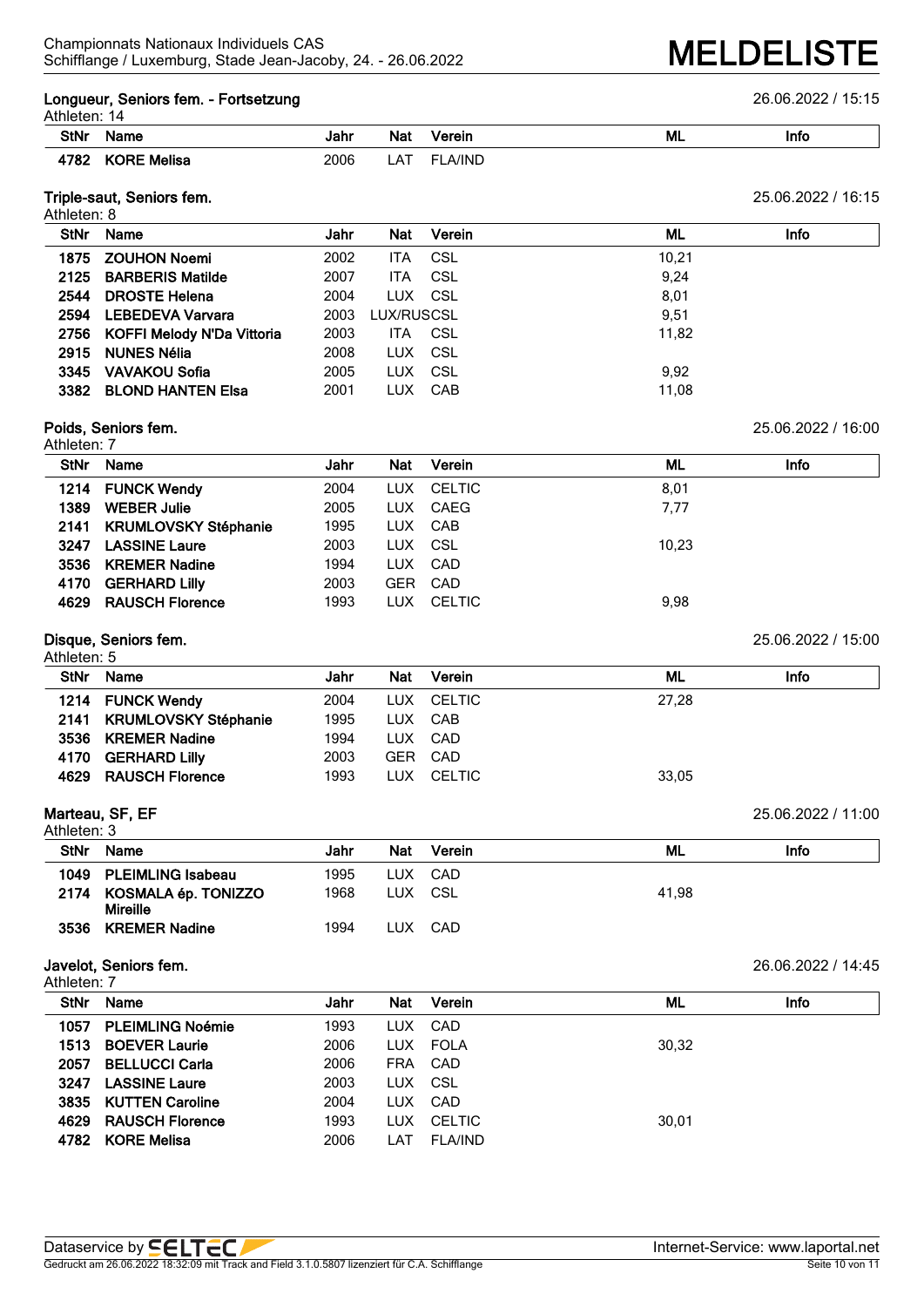### **Longueur, Seniors fem. - Fortsetzung** 26.06.2022 / 15:15

| Athleten: 14 |
|--------------|
|--------------|

| <b>AUTOLOTI.</b> 17 |                       |      |         |        |           |      |  |  |
|---------------------|-----------------------|------|---------|--------|-----------|------|--|--|
| StNr                | <b>Name</b>           | Jahr | Nat     | Verein | <b>ML</b> | Info |  |  |
| ≙יסדי<br>ے ہ        | <b>KODE</b><br>Melisa | 2006 | А<br>-- | A/IND  |           |      |  |  |

### **Triple-saut, Seniors fem.** 25.06.2022 / 16:15 Athleten: 8

| <b>StNr</b> | <b>Name</b>                     | Jahr | <b>Nat</b> | Verein  | ML    | Info |
|-------------|---------------------------------|------|------------|---------|-------|------|
| 1875        | <b>ZOUHON Noemi</b>             | 2002 | ITA.       | CSL     | 10.21 |      |
|             | 2125 BARBERIS Matilde           | 2007 | ITA.       | CSL     | 9.24  |      |
| 2544        | <b>DROSTE Helena</b>            | 2004 | LUX CSL    |         | 8,01  |      |
| 2594        | <b>LEBEDEVA Varvara</b>         | 2003 | LUX/RUSCSL |         | 9.51  |      |
|             | 2756 KOFFI Melody N'Da Vittoria | 2003 | ITA.       | - CSL   | 11.82 |      |
|             | 2915 NUNES Nélia                | 2008 |            | LUX CSL |       |      |
| 3345        | VAVAKOU Sofia                   | 2005 | LUX.       | CSL     | 9.92  |      |
| 3382        | <b>BLOND HANTEN Elsa</b>        | 2001 | <b>LUX</b> | CAB     | 11,08 |      |
|             |                                 |      |            |         |       |      |

### **Poids, Seniors fem.** 25.06.2022 / 16:00 Athloton: 7

| AUTERIL 7 |                           |      |         |            |       |      |  |  |
|-----------|---------------------------|------|---------|------------|-------|------|--|--|
| StNr      | Name                      | Jahr | Nat     | Verein     | ML    | Info |  |  |
|           | 1214 FUNCK Wendy          | 2004 |         | LUX CELTIC | 8,01  |      |  |  |
| 1389      | <b>WEBER Julie</b>        | 2005 |         | LUX CAEG   | 7,77  |      |  |  |
|           | 2141 KRUMLOVSKY Stéphanie | 1995 |         | LUX CAB    |       |      |  |  |
|           | 3247 LASSINE Laure        | 2003 | LUX CSL |            | 10.23 |      |  |  |
|           | 3536 KREMER Nadine        | 1994 |         | LUX CAD    |       |      |  |  |
| 4170      | <b>GERHARD Lilly</b>      | 2003 |         | GER CAD    |       |      |  |  |
|           | 4629 RAUSCH Florence      | 1993 |         | LUX CELTIC | 9.98  |      |  |  |

### **Disque, Seniors fem.** 25.06.2022 / 15:00 Athleten: 5

|      | AUICICII. J               |      |            |            |       |      |  |  |  |
|------|---------------------------|------|------------|------------|-------|------|--|--|--|
| StNr | <b>Name</b>               | Jahr | <b>Nat</b> | Verein     | ML    | Info |  |  |  |
|      | 1214 FUNCK Wendy          | 2004 |            | LUX CELTIC | 27,28 |      |  |  |  |
|      | 2141 KRUMLOVSKY Stéphanie | 1995 |            | LUX CAB    |       |      |  |  |  |
|      | 3536 KREMER Nadine        | 1994 |            | LUX CAD    |       |      |  |  |  |
| 4170 | <b>GERHARD Lilly</b>      | 2003 |            | GER CAD    |       |      |  |  |  |
|      | 4629 RAUSCH Florence      | 1993 |            | LUX CELTIC | 33,05 |      |  |  |  |
|      |                           |      |            |            |       |      |  |  |  |

## **Marteau, SF, EF** 25.06.2022 / 11:00

| Athleten: 3 |                                             |      |            |        |       |      |  |  |
|-------------|---------------------------------------------|------|------------|--------|-------|------|--|--|
| <b>StNr</b> | Name                                        | Jahr | <b>Nat</b> | Verein | ML    | Info |  |  |
|             | 1049 PLEIMLING Isabeau                      | 1995 | LUX.       | CAD    |       |      |  |  |
|             | 2174 KOSMALA ép. TONIZZO<br><b>Mireille</b> | 1968 | <b>LUX</b> | CSL    | 41.98 |      |  |  |
| 3536        | <b>KREMER Nadine</b>                        | 1994 | <b>LUX</b> | CAD    |       |      |  |  |
|             |                                             |      |            |        |       |      |  |  |

### **Javelot, Seniors fem.** 26.06.2022 / 14:45 Athleten: 7

| Atnieten. 7 |                         |      |            |                |       |      |
|-------------|-------------------------|------|------------|----------------|-------|------|
| <b>StNr</b> | Name                    | Jahr | <b>Nat</b> | Verein         | ML    | Info |
| 1057        | <b>PLEIMLING Noémie</b> | 1993 | LUX        | CAD            |       |      |
| 1513        | <b>BOEVER Laurie</b>    | 2006 | LUX.       | FOLA           | 30,32 |      |
| 2057        | <b>BELLUCCI Carla</b>   | 2006 | <b>FRA</b> | CAD            |       |      |
| 3247        | <b>LASSINE Laure</b>    | 2003 | LUX        | CSL            |       |      |
| 3835        | <b>KUTTEN Caroline</b>  | 2004 | LUX        | CAD            |       |      |
| 4629        | <b>RAUSCH Florence</b>  | 1993 | LUX        | <b>CELTIC</b>  | 30,01 |      |
| 4782        | <b>KORE Melisa</b>      | 2006 | LAT        | <b>FLA/IND</b> |       |      |